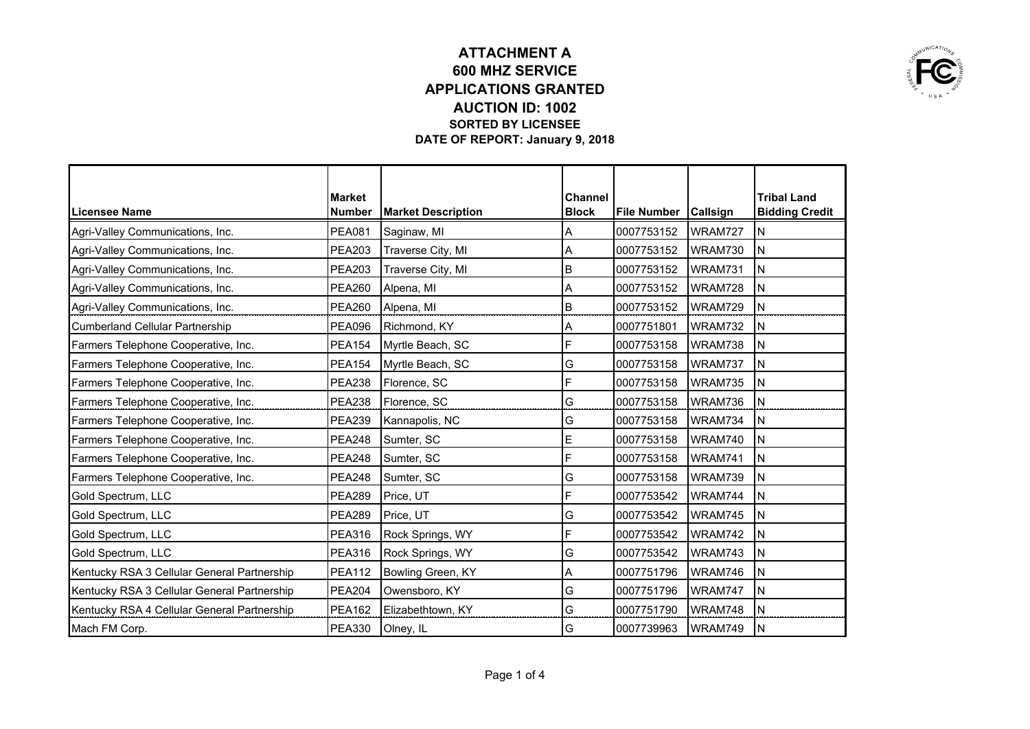

|                                             | Market        |                           | <b>Channel</b> |                        |         | <b>Tribal Land</b>    |
|---------------------------------------------|---------------|---------------------------|----------------|------------------------|---------|-----------------------|
| Licensee Name                               | <b>Number</b> | <b>Market Description</b> | <b>Block</b>   | File Number   Callsign |         | <b>Bidding Credit</b> |
| Agri-Valley Communications, Inc.            | <b>PEA081</b> | Saginaw, MI               | A              | 0007753152             | WRAM727 | IΝ                    |
| Agri-Valley Communications, Inc.            | <b>PEA203</b> | Traverse City, MI         | A              | 0007753152             | WRAM730 | İΝ                    |
| Agri-Valley Communications, Inc.            | <b>PEA203</b> | Traverse City, MI         | B              | 0007753152             | WRAM731 | İΝ                    |
| Agri-Valley Communications, Inc.            | <b>PEA260</b> | Alpena, MI                | A              | 0007753152             | WRAM728 | İΝ                    |
| Agri-Valley Communications, Inc.            | <b>PEA260</b> | Alpena, MI                | B              | 0007753152             | WRAM729 | ΙN                    |
| <b>Cumberland Cellular Partnership</b>      | <b>PEA096</b> | Richmond, KY              | Α              | 0007751801             | WRAM732 | ΙN                    |
| Farmers Telephone Cooperative, Inc.         | <b>PEA154</b> | Myrtle Beach, SC          | F              | 0007753158             | WRAM738 | ΙN                    |
| Farmers Telephone Cooperative, Inc.         | <b>PEA154</b> | Myrtle Beach, SC          | G              | 0007753158             | WRAM737 | İΝ                    |
| Farmers Telephone Cooperative, Inc.         | <b>PEA238</b> | Florence, SC              | F              | 0007753158             | WRAM735 | ΙN                    |
| Farmers Telephone Cooperative, Inc.         | <b>PEA238</b> | Florence, SC              | G              | 0007753158             | WRAM736 | İΝ                    |
| Farmers Telephone Cooperative, Inc.         | <b>PEA239</b> | Kannapolis, NC            | G              | 0007753158             | WRAM734 | İΝ                    |
| Farmers Telephone Cooperative, Inc.         | <b>PEA248</b> | Sumter, SC                | E              | 0007753158             | WRAM740 | ΙN                    |
| Farmers Telephone Cooperative, Inc.         | <b>PEA248</b> | Sumter, SC                | F              | 0007753158             | WRAM741 | İΝ                    |
| Farmers Telephone Cooperative, Inc.         | <b>PEA248</b> | Sumter, SC                | G              | 0007753158             | WRAM739 | İΝ                    |
| Gold Spectrum, LLC                          | <b>PEA289</b> | Price, UT                 | F              | 0007753542             | WRAM744 | ΙN                    |
| Gold Spectrum, LLC                          | <b>PEA289</b> | Price, UT                 | G              | 0007753542             | WRAM745 | İΝ                    |
| Gold Spectrum, LLC                          | <b>PEA316</b> | Rock Springs, WY          | F              | 0007753542             | WRAM742 | IN.                   |
| Gold Spectrum, LLC                          | <b>PEA316</b> | Rock Springs, WY          | G              | 0007753542             | WRAM743 | ΙN                    |
| Kentucky RSA 3 Cellular General Partnership | <b>PEA112</b> | Bowling Green, KY         | Α              | 0007751796             | WRAM746 | İΝ                    |
| Kentucky RSA 3 Cellular General Partnership | <b>PEA204</b> | Owensboro, KY             | G              | 0007751796             | WRAM747 | ΙN                    |
| Kentucky RSA 4 Cellular General Partnership | <b>PEA162</b> | Elizabethtown, KY         | G              | 0007751790             | WRAM748 | ΙN                    |
| Mach FM Corp.                               | <b>PEA330</b> | Olney, IL                 | G              | 0007739963             | WRAM749 | İΝ                    |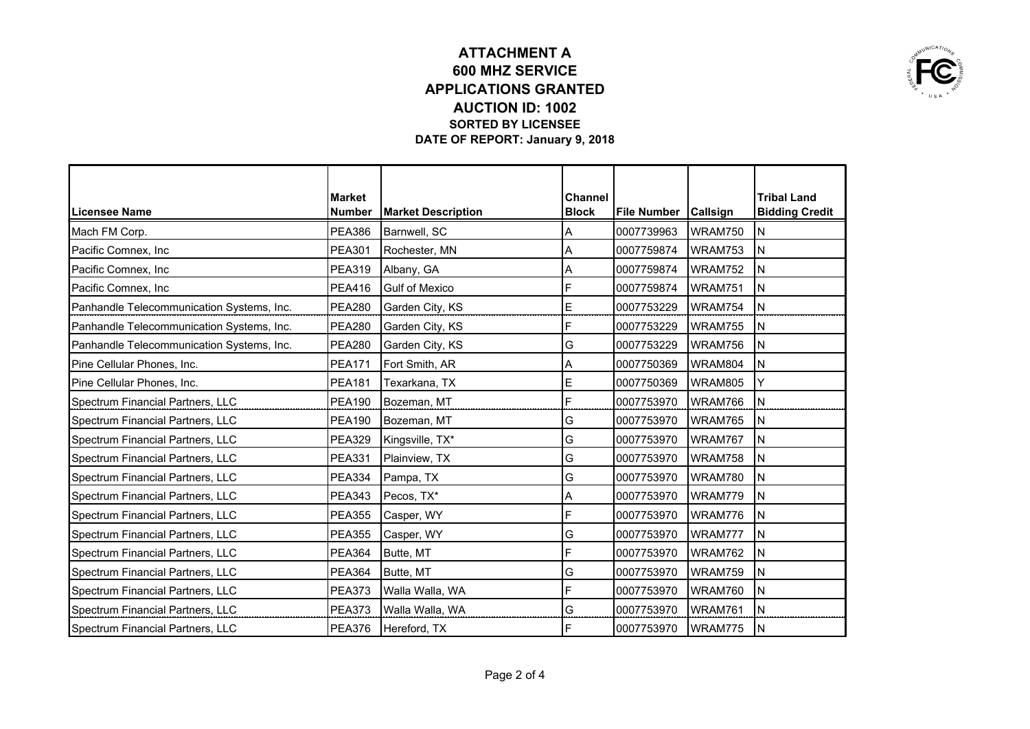

|                                           | Market        |                           | <b>Channel</b> |                        |         | <b>Tribal Land</b>    |
|-------------------------------------------|---------------|---------------------------|----------------|------------------------|---------|-----------------------|
| Licensee Name                             | <b>Number</b> | <b>Market Description</b> | <b>Block</b>   | File Number   Callsign |         | <b>Bidding Credit</b> |
| Mach FM Corp.                             | <b>PEA386</b> | Barnwell, SC              | A              | 0007739963             | WRAM750 | ΙN                    |
| Pacific Comnex, Inc                       | <b>PEA301</b> | Rochester, MN             | A              | 0007759874             | WRAM753 | İΝ                    |
| Pacific Comnex, Inc                       | <b>PEA319</b> | Albany, GA                | A              | 0007759874             | WRAM752 | İΝ                    |
| Pacific Comnex, Inc                       | <b>PEA416</b> | <b>Gulf of Mexico</b>     | F              | 0007759874             | WRAM751 | İΝ                    |
| Panhandle Telecommunication Systems, Inc. | <b>PEA280</b> | Garden City, KS           | E              | 0007753229             | WRAM754 | ΙN                    |
| Panhandle Telecommunication Systems, Inc. | <b>PEA280</b> | Garden City, KS           | F              | 0007753229             | WRAM755 | ΙN                    |
| Panhandle Telecommunication Systems, Inc. | <b>PEA280</b> | Garden City, KS           | G              | 0007753229             | WRAM756 | N                     |
| Pine Cellular Phones, Inc.                | <b>PEA171</b> | Fort Smith, AR            | Α              | 0007750369             | WRAM804 | ΙN                    |
| Pine Cellular Phones, Inc.                | <b>PEA181</b> | Texarkana, TX             | E              | 0007750369             | WRAM805 | Y                     |
| Spectrum Financial Partners, LLC          | <b>PEA190</b> | Bozeman, MT               | F              | 0007753970             | WRAM766 | ΙN                    |
| Spectrum Financial Partners, LLC          | <b>PEA190</b> | Bozeman, MT               | G              | 0007753970             | WRAM765 | İΝ                    |
| Spectrum Financial Partners, LLC          | <b>PEA329</b> | Kingsville, TX*           | G              | 0007753970             | WRAM767 | ļΝ                    |
| Spectrum Financial Partners, LLC          | <b>PEA331</b> | Plainview, TX             | G              | 0007753970             | WRAM758 | ΙN                    |
| Spectrum Financial Partners, LLC          | <b>PEA334</b> | Pampa, TX                 | G              | 0007753970             | WRAM780 | İΝ                    |
| Spectrum Financial Partners, LLC          | <b>PEA343</b> | Pecos, TX*                | A              | 0007753970             | WRAM779 | İN                    |
| Spectrum Financial Partners, LLC          | <b>PEA355</b> | Casper, WY                | F              | 0007753970             | WRAM776 | ΙN                    |
| Spectrum Financial Partners, LLC          | <b>PEA355</b> | Casper, WY                | G              | 0007753970             | WRAM777 | İΝ                    |
| Spectrum Financial Partners, LLC          | <b>PEA364</b> | Butte, MT                 | F              | 0007753970             | WRAM762 | İΝ                    |
| Spectrum Financial Partners, LLC          | <b>PEA364</b> | Butte, MT                 | G              | 0007753970             | WRAM759 | IN.                   |
| Spectrum Financial Partners, LLC          | <b>PEA373</b> | Walla Walla, WA           | F              | 0007753970             | WRAM760 | İΝ                    |
| Spectrum Financial Partners, LLC          | <b>PEA373</b> | Walla Walla, WA           | G              | 0007753970             | WRAM761 | İN                    |
| Spectrum Financial Partners, LLC          | <b>PEA376</b> | Hereford, TX              | F              | 0007753970             | WRAM775 | İN                    |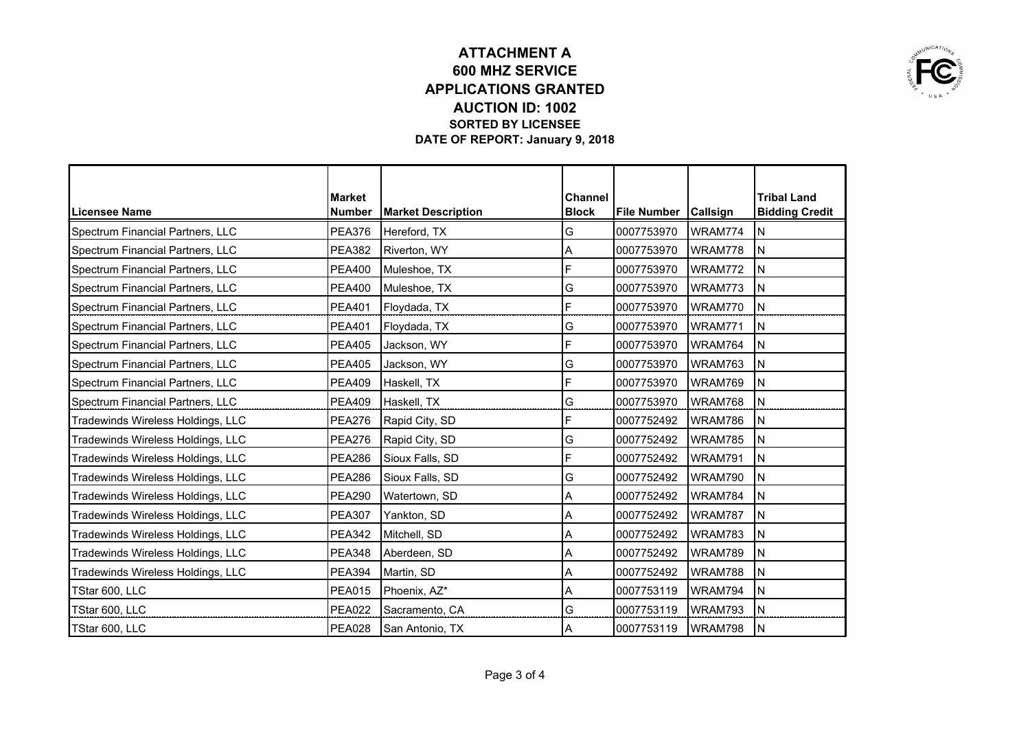

|                                   | <b>Market</b> |                           | <b>Channel</b> |                        |         | <b>Tribal Land</b>    |
|-----------------------------------|---------------|---------------------------|----------------|------------------------|---------|-----------------------|
| <b>Licensee Name</b>              | <b>Number</b> | <b>Market Description</b> | <b>Block</b>   | File Number   Callsign |         | <b>Bidding Credit</b> |
| Spectrum Financial Partners, LLC  | <b>PEA376</b> | Hereford, TX              | G              | 0007753970             | WRAM774 | ΙN                    |
| Spectrum Financial Partners, LLC  | <b>PEA382</b> | Riverton, WY              | А              | 0007753970             | WRAM778 | łΝ                    |
| Spectrum Financial Partners, LLC  | <b>PEA400</b> | Muleshoe, TX              | F              | 0007753970             | WRAM772 | İΝ                    |
| Spectrum Financial Partners, LLC  | PEA400        | Muleshoe, TX              | G              | 0007753970             | WRAM773 | ΙN                    |
| Spectrum Financial Partners, LLC  | <b>PEA401</b> | Floydada, TX              | F              | 0007753970             | WRAM770 | ΙN                    |
| Spectrum Financial Partners, LLC  | <b>PEA401</b> | Floydada, TX              | G              | 0007753970             | WRAM771 | ΙN                    |
| Spectrum Financial Partners, LLC  | <b>PEA405</b> | Jackson, WY               | F              | 0007753970             | WRAM764 | N                     |
| Spectrum Financial Partners, LLC  | <b>PEA405</b> | Jackson, WY               | G              | 0007753970             | WRAM763 | ΙN                    |
| Spectrum Financial Partners, LLC  | <b>PEA409</b> | Haskell, TX               | F              | 0007753970             | WRAM769 | ΙN                    |
| Spectrum Financial Partners, LLC  | <b>PEA409</b> | Haskell, TX               | G              | 0007753970             | WRAM768 | ΙN                    |
| Tradewinds Wireless Holdings, LLC | <b>PEA276</b> | Rapid City, SD            | F              | 0007752492             | WRAM786 | İΝ                    |
| Tradewinds Wireless Holdings, LLC | <b>PEA276</b> | Rapid City, SD            | G              | 0007752492             | WRAM785 | İΝ                    |
| Tradewinds Wireless Holdings, LLC | <b>PEA286</b> | Sioux Falls, SD           | F              | 0007752492             | WRAM791 | İΝ                    |
| Tradewinds Wireless Holdings, LLC | <b>PEA286</b> | Sioux Falls, SD           | G              | 0007752492             | WRAM790 | İΝ                    |
| Tradewinds Wireless Holdings, LLC | <b>PEA290</b> | Watertown, SD             | A              | 0007752492             | WRAM784 | İN                    |
| Tradewinds Wireless Holdings, LLC | <b>PEA307</b> | Yankton, SD               | Α              | 0007752492             | WRAM787 | ΙN                    |
| Tradewinds Wireless Holdings, LLC | <b>PEA342</b> | Mitchell, SD              | Α              | 0007752492             | WRAM783 | IN.                   |
| Tradewinds Wireless Holdings, LLC | <b>PEA348</b> | Aberdeen, SD              | Α              | 0007752492             | WRAM789 | N                     |
| Tradewinds Wireless Holdings, LLC | <b>PEA394</b> | Martin, SD                | Α              | 0007752492             | WRAM788 | ΙN                    |
| TStar 600, LLC                    | <b>PEA015</b> | Phoenix, AZ*              | Α              | 0007753119             | WRAM794 | İΝ                    |
| TStar 600, LLC                    | <b>PEA022</b> | Sacramento, CA            | G              | 0007753119             | WRAM793 | İN                    |
| TStar 600, LLC                    | <b>PEA028</b> | San Antonio, TX           | lА             | 0007753119             | WRAM798 | İΝ                    |